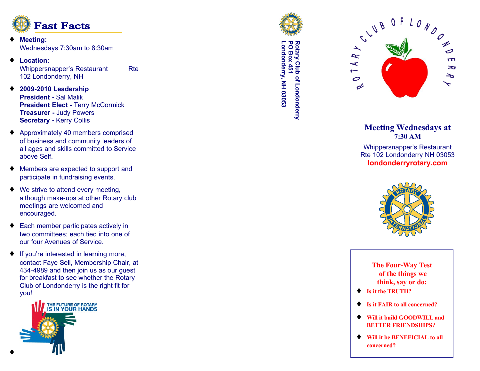

- **Meeting:** Wednesdays 7:30am to 8:30am
- ♦ **Location:** Whippersnapper's Restaurant Rte 102 Londonderry, NH
- ♦ **2009-2010 Leadership President -** Sal Malik **President Elect - Terry McCormick Treasurer -** Judy Powers **Secretary -** Kerry Collis
- ♦ Approximately 40 members comprised of business and community leaders of all ages and skills committed to Service above Self.
- ♦ Members are expected to support and participate in fundraising events.
- $\blacklozenge$  We strive to attend every meeting, although make-ups at other Rotary club meetings are welcomed and encouraged.
- ♦ Each member participates actively in two committees; each tied into one of our four Avenues of Service.
- ♦ If you're interested in learning more, contact Faye Sell, Membership Chair, at 434-4989 and then join us as our guest for breakfast to see whether the Rotary Club of Londonderry is the right fit for you!





**Londonderry, NH 03053 PO Box 451 Rotary Club of Londonderry** -ondonderry, NH 03053 totary Club of Londonderry<br>O Box 451<br><sup>O Box</sup> 451



## **Meeting Wednesdays at 7:30 AM**

Whippersnapper's Restaurant Rte 102 Londonderry NH 03053 **londonderryrotary.com**



**The Four-Way Test of the things we think, say or do:**

- ♦ **Is it the TRUTH?**
- **Is it FAIR to all concerned?**
- ♦ **Will it build GOODWILL and BETTER FRIENDSHIPS?**
- ♦ **Will it be BENEFICIAL to all concerned?**